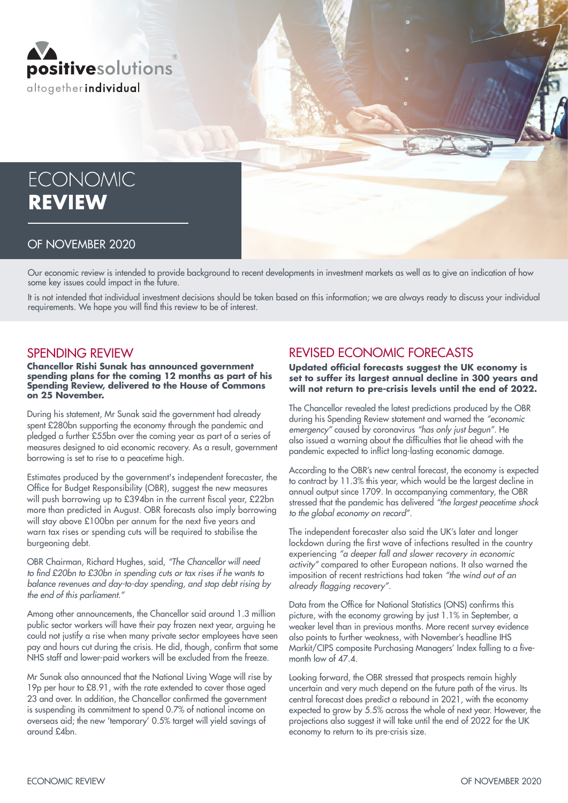

# **ECONOMIC REVIEW**

#### OF NOVEMBER 2020

Our economic review is intended to provide background to recent developments in investment markets as well as to give an indication of how some key issues could impact in the future.

It is not intended that individual investment decisions should be taken based on this information; we are always ready to discuss your individual requirements. We hope you will find this review to be of interest.

#### SPENDING REVIEW

**Chancellor Rishi Sunak has announced government spending plans for the coming 12 months as part of his Spending Review, delivered to the House of Commons on 25 November.**

During his statement, Mr Sunak said the government had already spent £280bn supporting the economy through the pandemic and pledged a further £55bn over the coming year as part of a series of measures designed to aid economic recovery. As a result, government borrowing is set to rise to a peacetime high.

Estimates produced by the government's independent forecaster, the Office for Budget Responsibility (OBR), suggest the new measures will push borrowing up to £394bn in the current fiscal year, £22bn more than predicted in August. OBR forecasts also imply borrowing will stay above £100bn per annum for the next five years and warn tax rises or spending cuts will be required to stabilise the burgeoning debt.

OBR Chairman, Richard Hughes, said, *"The Chancellor will need*  to find £20bn to £30bn in spending cuts or tax rises if he wants to balance revenues and day-to-day spending, and stop debt rising by the end of this parliament."

Among other announcements, the Chancellor said around 1.3 million public sector workers will have their pay frozen next year, arguing he could not justify a rise when many private sector employees have seen pay and hours cut during the crisis. He did, though, confirm that some NHS staff and lower-paid workers will be excluded from the freeze.

Mr Sunak also announced that the National Living Wage will rise by 19p per hour to £8.91, with the rate extended to cover those aged 23 and over. In addition, the Chancellor confirmed the government is suspending its commitment to spend 0.7% of national income on overseas aid; the new 'temporary' 0.5% target will yield savings of around £4bn.

## REVISED ECONOMIC FORECASTS

**Updated official forecasts suggest the UK economy is set to suffer its largest annual decline in 300 years and will not return to pre-crisis levels until the end of 2022.**

The Chancellor revealed the latest predictions produced by the OBR during his Spending Review statement and warned the "economic emergency" caused by coronavirus "has only just begun". He also issued a warning about the difficulties that lie ahead with the pandemic expected to inflict long-lasting economic damage.

According to the OBR's new central forecast, the economy is expected to contract by 11.3% this year, which would be the largest decline in annual output since 1709. In accompanying commentary, the OBR stressed that the pandemic has delivered "the largest peacetime shock to the global economy on record".

The independent forecaster also said the UK's later and longer lockdown during the first wave of infections resulted in the country experiencing "a deeper fall and slower recovery in economic activity" compared to other European nations. It also warned the imposition of recent restrictions had taken "the wind out of an already flagging recovery".

Data from the Office for National Statistics (ONS) confirms this picture, with the economy growing by just 1.1% in September, a weaker level than in previous months. More recent survey evidence also points to further weakness, with November's headline IHS Markit/CIPS composite Purchasing Managers' Index falling to a fivemonth low of 47.4.

Looking forward, the OBR stressed that prospects remain highly uncertain and very much depend on the future path of the virus. Its central forecast does predict a rebound in 2021, with the economy expected to grow by 5.5% across the whole of next year. However, the projections also suggest it will take until the end of 2022 for the UK economy to return to its pre-crisis size.